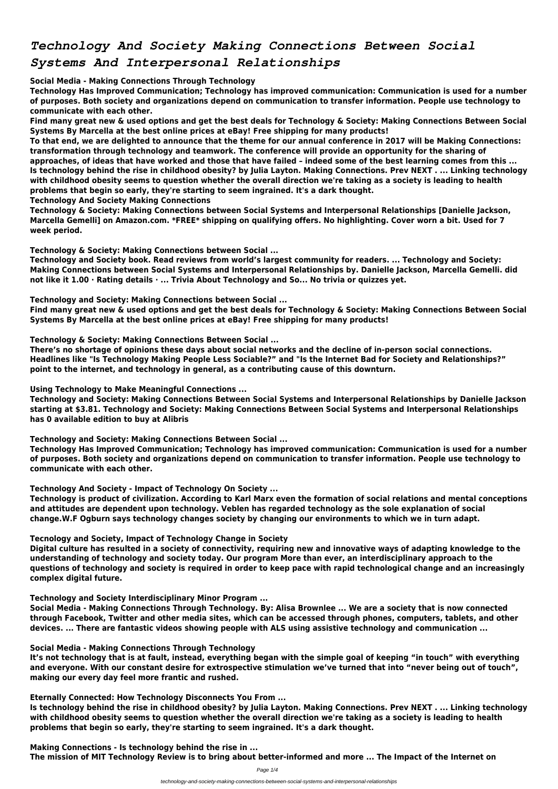# *Technology And Society Making Connections Between Social Systems And Interpersonal Relationships*

**Social Media - Making Connections Through Technology**

**Technology Has Improved Communication; Technology has improved communication: Communication is used for a number of purposes. Both society and organizations depend on communication to transfer information. People use technology to communicate with each other.**

**Find many great new & used options and get the best deals for Technology & Society: Making Connections Between Social Systems By Marcella at the best online prices at eBay! Free shipping for many products!**

**To that end, we are delighted to announce that the theme for our annual conference in 2017 will be Making Connections: transformation through technology and teamwork. The conference will provide an opportunity for the sharing of approaches, of ideas that have worked and those that have failed – indeed some of the best learning comes from this ... Is technology behind the rise in childhood obesity? by Julia Layton. Making Connections. Prev NEXT . ... Linking technology with childhood obesity seems to question whether the overall direction we're taking as a society is leading to health problems that begin so early, they're starting to seem ingrained. It's a dark thought.**

**Technology And Society Making Connections**

**Technology & Society: Making Connections between Social Systems and Interpersonal Relationships [Danielle Jackson, Marcella Gemelli] on Amazon.com. \*FREE\* shipping on qualifying offers. No highlighting. Cover worn a bit. Used for 7 week period.**

**Technology & Society: Making Connections between Social ...**

**Technology and Society book. Read reviews from world's largest community for readers. ... Technology and Society: Making Connections between Social Systems and Interpersonal Relationships by. Danielle Jackson, Marcella Gemelli. did not like it 1.00 · Rating details · ... Trivia About Technology and So... No trivia or quizzes yet.**

**Technology and Society: Making Connections between Social ...**

**Find many great new & used options and get the best deals for Technology & Society: Making Connections Between Social Systems By Marcella at the best online prices at eBay! Free shipping for many products!**

**Technology & Society: Making Connections Between Social ...**

**There's no shortage of opinions these days about social networks and the decline of in-person social connections. Headlines like "Is Technology Making People Less Sociable?" and "Is the Internet Bad for Society and Relationships?" point to the internet, and technology in general, as a contributing cause of this downturn.**

**Using Technology to Make Meaningful Connections ...**

**Technology and Society: Making Connections Between Social Systems and Interpersonal Relationships by Danielle Jackson starting at \$3.81. Technology and Society: Making Connections Between Social Systems and Interpersonal Relationships has 0 available edition to buy at Alibris**

**Technology and Society: Making Connections Between Social ...**

**Technology Has Improved Communication; Technology has improved communication: Communication is used for a number of purposes. Both society and organizations depend on communication to transfer information. People use technology to communicate with each other.**

**Technology And Society - Impact of Technology On Society ...**

**Technology is product of civilization. According to Karl Marx even the formation of social relations and mental conceptions and attitudes are dependent upon technology. Veblen has regarded technology as the sole explanation of social change.W.F Ogburn says technology changes society by changing our environments to which we in turn adapt.**

**Tecnology and Society, Impact of Technology Change in Society**

**Digital culture has resulted in a society of connectivity, requiring new and innovative ways of adapting knowledge to the understanding of technology and society today. Our program More than ever, an interdisciplinary approach to the questions of technology and society is required in order to keep pace with rapid technological change and an increasingly complex digital future.**

#### **Technology and Society Interdisciplinary Minor Program ...**

**Social Media - Making Connections Through Technology. By: Alisa Brownlee ... We are a society that is now connected through Facebook, Twitter and other media sites, which can be accessed through phones, computers, tablets, and other devices. ... There are fantastic videos showing people with ALS using assistive technology and communication ...**

#### **Social Media - Making Connections Through Technology**

**It's not technology that is at fault, instead, everything began with the simple goal of keeping "in touch" with everything and everyone. With our constant desire for extrospective stimulation we've turned that into "never being out of touch", making our every day feel more frantic and rushed.**

**Eternally Connected: How Technology Disconnects You From ...**

**Is technology behind the rise in childhood obesity? by Julia Layton. Making Connections. Prev NEXT . ... Linking technology with childhood obesity seems to question whether the overall direction we're taking as a society is leading to health problems that begin so early, they're starting to seem ingrained. It's a dark thought.**

**Making Connections - Is technology behind the rise in ... The mission of MIT Technology Review is to bring about better-informed and more ... The Impact of the Internet on**

Page 1/4

technology-and-society-making-connections-between-social-systems-and-interpersonal-relationships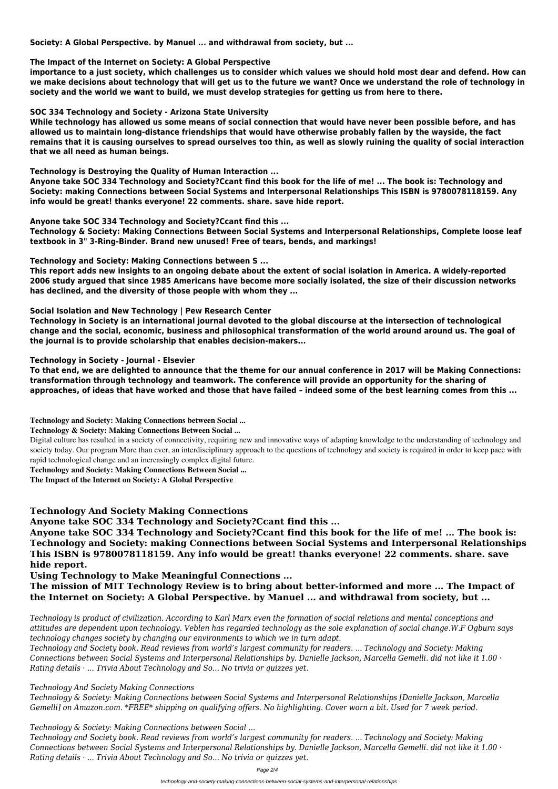**Society: A Global Perspective. by Manuel ... and withdrawal from society, but ...**

#### **The Impact of the Internet on Society: A Global Perspective**

**importance to a just society, which challenges us to consider which values we should hold most dear and defend. How can we make decisions about technology that will get us to the future we want? Once we understand the role of technology in society and the world we want to build, we must develop strategies for getting us from here to there.**

#### **SOC 334 Technology and Society - Arizona State University**

**While technology has allowed us some means of social connection that would have never been possible before, and has allowed us to maintain long-distance friendships that would have otherwise probably fallen by the wayside, the fact remains that it is causing ourselves to spread ourselves too thin, as well as slowly ruining the quality of social interaction that we all need as human beings.**

#### **Technology is Destroying the Quality of Human Interaction ...**

**Anyone take SOC 334 Technology and Society?Ccant find this book for the life of me! ... The book is: Technology and Society: making Connections between Social Systems and Interpersonal Relationships This ISBN is 9780078118159. Any info would be great! thanks everyone! 22 comments. share. save hide report.**

#### **Anyone take SOC 334 Technology and Society?Ccant find this ...**

**Technology & Society: Making Connections Between Social Systems and Interpersonal Relationships, Complete loose leaf textbook in 3" 3-Ring-Binder. Brand new unused! Free of tears, bends, and markings!**

#### **Technology and Society: Making Connections between S ...**

**This report adds new insights to an ongoing debate about the extent of social isolation in America. A widely-reported 2006 study argued that since 1985 Americans have become more socially isolated, the size of their discussion networks has declined, and the diversity of those people with whom they ...**

#### **Social Isolation and New Technology | Pew Research Center**

**Technology in Society is an international journal devoted to the global discourse at the intersection of technological change and the social, economic, business and philosophical transformation of the world around around us. The goal of the journal is to provide scholarship that enables decision-makers...**

#### **Technology in Society - Journal - Elsevier**

**To that end, we are delighted to announce that the theme for our annual conference in 2017 will be Making Connections: transformation through technology and teamwork. The conference will provide an opportunity for the sharing of approaches, of ideas that have worked and those that have failed – indeed some of the best learning comes from this ...**

**Technology and Society: Making Connections between Social ...**

#### **Technology & Society: Making Connections Between Social ...**

Digital culture has resulted in a society of connectivity, requiring new and innovative ways of adapting knowledge to the understanding of technology and society today. Our program More than ever, an interdisciplinary approach to the questions of technology and society is required in order to keep pace with rapid technological change and an increasingly complex digital future.

**Technology and Society: Making Connections Between Social ...**

**The Impact of the Internet on Society: A Global Perspective**

### **Technology And Society Making Connections**

**Anyone take SOC 334 Technology and Society?Ccant find this ...**

**Anyone take SOC 334 Technology and Society?Ccant find this book for the life of me! ... The book is: Technology and Society: making Connections between Social Systems and Interpersonal Relationships This ISBN is 9780078118159. Any info would be great! thanks everyone! 22 comments. share. save hide report.**

#### **Using Technology to Make Meaningful Connections ...**

**The mission of MIT Technology Review is to bring about better-informed and more ... The Impact of**

# **the Internet on Society: A Global Perspective. by Manuel ... and withdrawal from society, but ...**

*Technology is product of civilization. According to Karl Marx even the formation of social relations and mental conceptions and attitudes are dependent upon technology. Veblen has regarded technology as the sole explanation of social change.W.F Ogburn says technology changes society by changing our environments to which we in turn adapt.*

*Technology and Society book. Read reviews from world's largest community for readers. ... Technology and Society: Making Connections between Social Systems and Interpersonal Relationships by. Danielle Jackson, Marcella Gemelli. did not like it 1.00 · Rating details · ... Trivia About Technology and So... No trivia or quizzes yet.*

#### *Technology And Society Making Connections*

*Technology & Society: Making Connections between Social Systems and Interpersonal Relationships [Danielle Jackson, Marcella Gemelli] on Amazon.com. \*FREE\* shipping on qualifying offers. No highlighting. Cover worn a bit. Used for 7 week period.*

#### *Technology & Society: Making Connections between Social ...*

*Technology and Society book. Read reviews from world's largest community for readers. ... Technology and Society: Making Connections between Social Systems and Interpersonal Relationships by. Danielle Jackson, Marcella Gemelli. did not like it 1.00 · Rating details · ... Trivia About Technology and So... No trivia or quizzes yet.*

Page 2/4

technology-and-society-making-connections-between-social-systems-and-interpersonal-relationships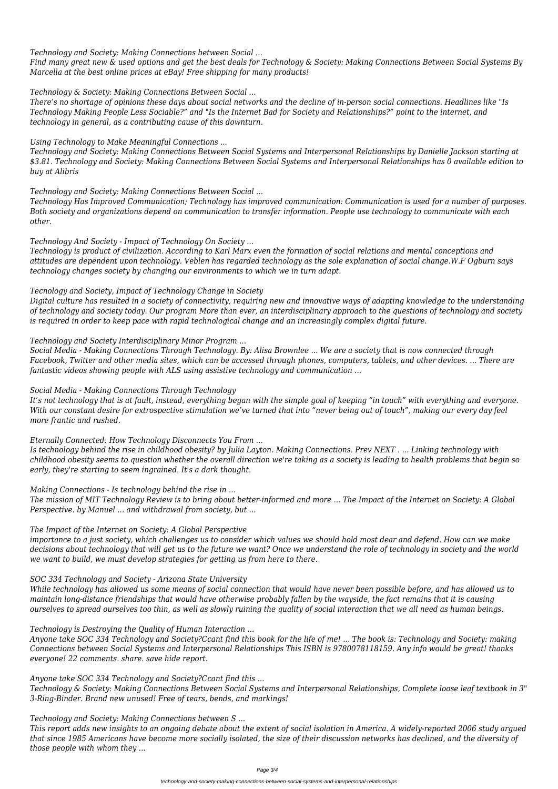*Technology and Society: Making Connections between Social ...*

*Find many great new & used options and get the best deals for Technology & Society: Making Connections Between Social Systems By Marcella at the best online prices at eBay! Free shipping for many products!*

*Technology & Society: Making Connections Between Social ...*

*There's no shortage of opinions these days about social networks and the decline of in-person social connections. Headlines like "Is Technology Making People Less Sociable?" and "Is the Internet Bad for Society and Relationships?" point to the internet, and technology in general, as a contributing cause of this downturn.*

*Using Technology to Make Meaningful Connections ...*

*Technology and Society: Making Connections Between Social Systems and Interpersonal Relationships by Danielle Jackson starting at \$3.81. Technology and Society: Making Connections Between Social Systems and Interpersonal Relationships has 0 available edition to buy at Alibris*

*Technology and Society: Making Connections Between Social ...*

*Technology Has Improved Communication; Technology has improved communication: Communication is used for a number of purposes. Both society and organizations depend on communication to transfer information. People use technology to communicate with each other.*

*Technology And Society - Impact of Technology On Society ...*

*Technology is product of civilization. According to Karl Marx even the formation of social relations and mental conceptions and attitudes are dependent upon technology. Veblen has regarded technology as the sole explanation of social change.W.F Ogburn says technology changes society by changing our environments to which we in turn adapt.*

*Tecnology and Society, Impact of Technology Change in Society*

*Digital culture has resulted in a society of connectivity, requiring new and innovative ways of adapting knowledge to the understanding of technology and society today. Our program More than ever, an interdisciplinary approach to the questions of technology and society is required in order to keep pace with rapid technological change and an increasingly complex digital future.*

*Technology and Society Interdisciplinary Minor Program ...*

*Social Media - Making Connections Through Technology. By: Alisa Brownlee ... We are a society that is now connected through Facebook, Twitter and other media sites, which can be accessed through phones, computers, tablets, and other devices. ... There are fantastic videos showing people with ALS using assistive technology and communication ...*

*Social Media - Making Connections Through Technology*

*It's not technology that is at fault, instead, everything began with the simple goal of keeping "in touch" with everything and everyone. With our constant desire for extrospective stimulation we've turned that into "never being out of touch", making our every day feel more frantic and rushed.*

*Eternally Connected: How Technology Disconnects You From ...*

*Is technology behind the rise in childhood obesity? by Julia Layton. Making Connections. Prev NEXT . ... Linking technology with childhood obesity seems to question whether the overall direction we're taking as a society is leading to health problems that begin so early, they're starting to seem ingrained. It's a dark thought.*

*Making Connections - Is technology behind the rise in ...*

*The mission of MIT Technology Review is to bring about better-informed and more ... The Impact of the Internet on Society: A Global Perspective. by Manuel ... and withdrawal from society, but ...*

*The Impact of the Internet on Society: A Global Perspective*

*importance to a just society, which challenges us to consider which values we should hold most dear and defend. How can we make decisions about technology that will get us to the future we want? Once we understand the role of technology in society and the world we want to build, we must develop strategies for getting us from here to there.*

# *SOC 334 Technology and Society - Arizona State University*

*While technology has allowed us some means of social connection that would have never been possible before, and has allowed us to maintain long-distance friendships that would have otherwise probably fallen by the wayside, the fact remains that it is causing ourselves to spread ourselves too thin, as well as slowly ruining the quality of social interaction that we all need as human beings.*

#### *Technology is Destroying the Quality of Human Interaction ...*

*Anyone take SOC 334 Technology and Society?Ccant find this book for the life of me! ... The book is: Technology and Society: making Connections between Social Systems and Interpersonal Relationships This ISBN is 9780078118159. Any info would be great! thanks everyone! 22 comments. share. save hide report.*

*Anyone take SOC 334 Technology and Society?Ccant find this ...*

*Technology & Society: Making Connections Between Social Systems and Interpersonal Relationships, Complete loose leaf textbook in 3" 3-Ring-Binder. Brand new unused! Free of tears, bends, and markings!*

*Technology and Society: Making Connections between S ...*

*This report adds new insights to an ongoing debate about the extent of social isolation in America. A widely-reported 2006 study argued that since 1985 Americans have become more socially isolated, the size of their discussion networks has declined, and the diversity of those people with whom they ...*

Page 3/4

technology-and-society-making-connections-between-social-systems-and-interpersonal-relationships